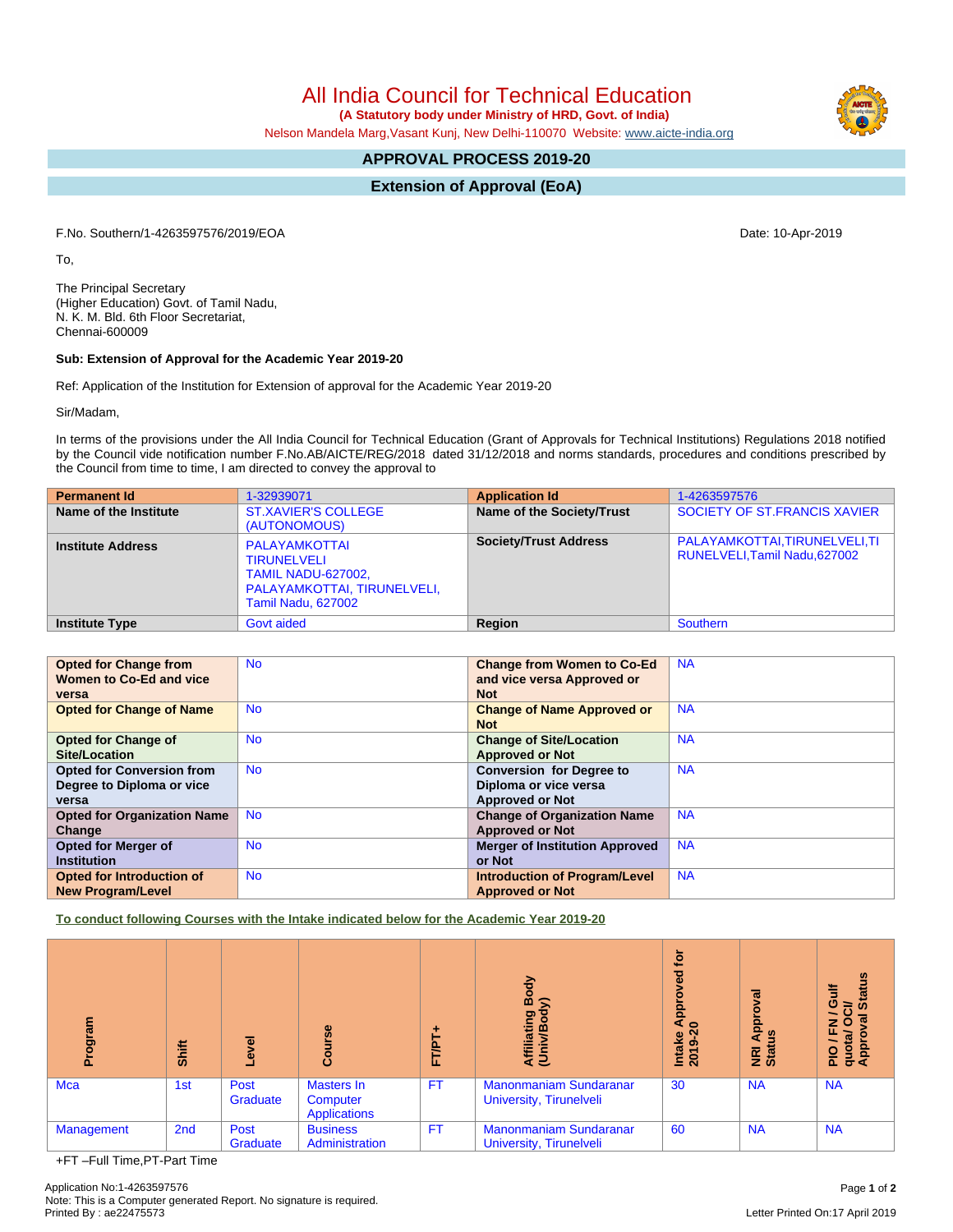Application No:1-4263597576 Page **1** of **2** Note: This is a Computer generated Report. No signature is required.

All India Council for Technical Education

 **(A Statutory body under Ministry of HRD, Govt. of India)**

Nelson Mandela Marg,Vasant Kunj, New Delhi-110070 Website: [www.aicte-india.org](http://www.aicte-india.org)

# **APPROVAL PROCESS 2019-20**

**Extension of Approval (EoA)**

F.No. Southern/1-4263597576/2019/EOA Date: 10-Apr-2019

To,

The Principal Secretary (Higher Education) Govt. of Tamil Nadu, N. K. M. Bld. 6th Floor Secretariat, Chennai-600009

## **Sub: Extension of Approval for the Academic Year 2019-20**

Ref: Application of the Institution for Extension of approval for the Academic Year 2019-20

Sir/Madam,

In terms of the provisions under the All India Council for Technical Education (Grant of Approvals for Technical Institutions) Regulations 2018 notified by the Council vide notification number F.No.AB/AICTE/REG/2018 dated 31/12/2018 and norms standards, procedures and conditions prescribed by the Council from time to time, I am directed to convey the approval to

| <b>Permanent Id</b>      | 1-32939071                                                                                                                   | <b>Application Id</b>        | 1-4263597576                                                    |
|--------------------------|------------------------------------------------------------------------------------------------------------------------------|------------------------------|-----------------------------------------------------------------|
| Name of the Institute    | <b>ST.XAVIER'S COLLEGE</b><br>(AUTONOMOUS)                                                                                   | Name of the Society/Trust    | SOCIETY OF ST.FRANCIS XAVIER                                    |
| <b>Institute Address</b> | PALAYAMKOTTAI<br><b>TIRUNELVELI</b><br><b>TAMIL NADU-627002,</b><br>PALAYAMKOTTAI, TIRUNELVELI,<br><b>Tamil Nadu, 627002</b> | <b>Society/Trust Address</b> | PALAYAMKOTTAI, TIRUNELVELI, TI<br>RUNELVELI, Tamil Nadu, 627002 |
| <b>Institute Type</b>    | <b>Govt aided</b>                                                                                                            | Region                       | Southern                                                        |

| <b>Opted for Change from</b><br>Women to Co-Ed and vice | <b>No</b> | <b>Change from Women to Co-Ed</b><br>and vice versa Approved or | <b>NA</b> |
|---------------------------------------------------------|-----------|-----------------------------------------------------------------|-----------|
| versa                                                   |           | <b>Not</b>                                                      |           |
| <b>Opted for Change of Name</b>                         | <b>No</b> | <b>Change of Name Approved or</b>                               | <b>NA</b> |
|                                                         |           | <b>Not</b>                                                      |           |
| <b>Opted for Change of</b>                              | <b>No</b> | <b>Change of Site/Location</b>                                  | <b>NA</b> |
| Site/Location                                           |           | <b>Approved or Not</b>                                          |           |
| <b>Opted for Conversion from</b>                        | <b>No</b> | <b>Conversion for Degree to</b>                                 | <b>NA</b> |
| Degree to Diploma or vice                               |           | Diploma or vice versa                                           |           |
| versa                                                   |           | <b>Approved or Not</b>                                          |           |
| <b>Opted for Organization Name</b>                      | <b>No</b> | <b>Change of Organization Name</b>                              | <b>NA</b> |
| Change                                                  |           | <b>Approved or Not</b>                                          |           |
| <b>Opted for Merger of</b>                              | <b>No</b> | <b>Merger of Institution Approved</b>                           | <b>NA</b> |
| <b>Institution</b>                                      |           | or Not                                                          |           |
| Opted for Introduction of                               | <b>No</b> | <b>Introduction of Program/Level</b>                            | <b>NA</b> |
| <b>New Program/Level</b>                                |           | <b>Approved or Not</b>                                          |           |

**To conduct following Courses with the Intake indicated below for the Academic Year 2019-20**

| ram<br>iĝo.                | <b>Shift</b>    | Level            | Course                                        | ۰<br>FT/PT. | Body<br>⋦<br>Affiliating<br>(Univ/Bod)                   | tor<br>yed<br>Intake Appr<br>2019-20 | roval<br>Appr<br>Ξ<br><b>E</b> at | <b>Status</b><br>₩<br>O<br>້៰<br>ē<br>준<br>O<br>PIO/F<br>quota/<br>Approv |  |  |
|----------------------------|-----------------|------------------|-----------------------------------------------|-------------|----------------------------------------------------------|--------------------------------------|-----------------------------------|---------------------------------------------------------------------------|--|--|
| Mca                        | 1st             | Post<br>Graduate | Masters In<br>Computer<br><b>Applications</b> | <b>FT</b>   | <b>Manonmaniam Sundaranar</b><br>University, Tirunelveli | 30                                   | <b>NA</b>                         | <b>NA</b>                                                                 |  |  |
| Management                 | 2 <sub>nd</sub> | Post<br>Graduate | <b>Business</b><br>Administration             | <b>FT</b>   | <b>Manonmaniam Sundaranar</b><br>University, Tirunelveli | 60                                   | <b>NA</b>                         | <b>NA</b>                                                                 |  |  |
| +FT-Full Time.PT-Part Time |                 |                  |                                               |             |                                                          |                                      |                                   |                                                                           |  |  |